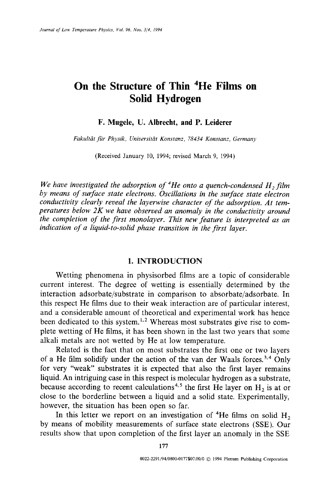# **On the Structure of Thin 4He Films on Solid Hydrogen**

# **F. Mugele, U. Albrecht, and P. Leiderer**

Fakultät für Physik, Universität Konstanz, 78434 Konstanz, Germany

(Received January 10, 1994; revised March 9, 1994)

*We have investigated the adsorption of <sup>4</sup>He onto a quench-condensed H<sub>2</sub> film by means of surface state electrons. Oscillations in the surface state electron conductivity clearly reveal the layerwise character of the adsorption. At temperatures below 2K we have observed an anomaly in the conductivity around the completion of the first monolayer. This new feature is interpreted as an indication of a liquid-to-solid phase transition in the first layer.* 

#### 1. INTRODUCTION

Wetting phenomena in physisorbed films are a topic of considerable current interest. The degree of wetting is essentially determined by the interaction adsorbate/substrate in comparison to absorbate/adsorbate. In this respect He films due to their weak interaction are of particular interest, and a considerable amount of theoretical and experimental work has hence been dedicated to this system.<sup>1,2</sup> Whereas most substrates give rise to complete wetting of He films, it has been shown in the last two years that some alkali metals are not wetted by He at low temperature.

Related is the fact that on most substrates the first one or two layers of a He film solidify under the action of the van der Waals forces.<sup>3,4</sup> Only for very "weak" substrates it is expected that also the first layer remains liquid. An intriguing case in this respect is molecular hydrogen as a substrate, because according to recent calculations<sup>4,5</sup> the first He layer on  $H_2$  is at or close to the borderline between a liquid and a solid state. Experimentally, however, the situation has been open so far.

In this letter we report on an investigation of <sup>4</sup>He films on solid  $H_2$ by means of mobility measurements of surface state electrons (SSE). Our results show that upon completion of the first layer an anomaly in the SSE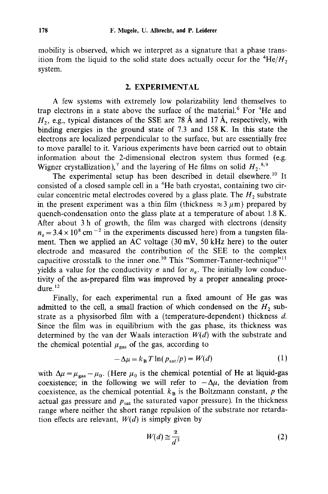mobility is observed, which we interpret as a signature that a phase transition from the liquid to the solid state does actually occur for the  ${}^{4}He/H_{2}$ system.

## 2. EXPERIMENTAL

A few systems with extremely low polarizability lend themselves to trap electrons in a state above the surface of the material.<sup>6</sup> For  ${}^{4}$ He and  $H_2$ , e.g., typical distances of the SSE are 78 Å and 17 Å, respectively, with binding energies in the ground state of 7.3 and 158 K. In this state the electrons are localized perpendicular to the surface, but are essentially free to move parallel to it. Various experiments have been carried out to obtain information about the 2-dimensional electron system thus formed (e.g. Wigner crystallization),<sup>7</sup> and the layering of He films on solid  $H_2$ <sup>8,9</sup>

The experimental setup has been described in detail elsewhere.<sup>10</sup> It consisted of a closed sample cell in a <sup>4</sup>He bath cryostat, containing two circular concentric metal electrodes covered by a glass plate. The  $H_2$  substrate in the present experiment was a thin film (thickness  $\approx 3 \mu$ m) prepared by quench-condensation onto the glass plate at a temperature of about 1.8 K. After about 3 h of growth, the film was charged with electrons (density  $n_e = 3.4 \times 10^8$  cm<sup>-2</sup> in the experiments discussed here) from a tungsten filament. Then we applied an AC voltage (30 mV, 50 kHz here) to the outer electrode and measured the contribution of the SEE to the complex capacitive crosstalk to the inner one.<sup>10</sup> This "Sommer-Tanner-technique"<sup>11</sup> yields a value for the conductivity  $\sigma$  and for  $n_e$ . The initially low conductivity of the as-prepared film was improved by a proper annealing procedure.<sup>12</sup>

Finally, for each experimental run a fixed amount of He gas was admitted to the cell, a small fraction of which condensed on the  $H_2$  substrate as a physisorbed film with a (temperature-dependent) thickness d. Since the film was in equilibrium with the gas phase, its thickness was determined by the van der Waals interaction *W(d)* with the substrate and the chemical potential  $\mu_{\text{gas}}$  of the gas, according to

$$
-\Delta \mu = k_{\rm B} T \ln(p_{\rm sat}/p) = W(d) \tag{1}
$$

with  $\Delta\mu = \mu_{\text{gas}} - \mu_0$ . (Here  $\mu_0$  is the chemical potential of He at liquid-gas coexistence; in the following we will refer to  $-\Delta\mu$ , the deviation from coexistence, as the chemical potential,  $k_B$  is the Boltzmann constant, p the actual gas pressure and  $p_{sat}$  the saturated vapor pressure). In the thickness range where neither the short range repulsion of the substrate nor retardation effects are relevant,  $W(d)$  is simply given by

$$
W(d) \cong \frac{\alpha}{d^3} \tag{2}
$$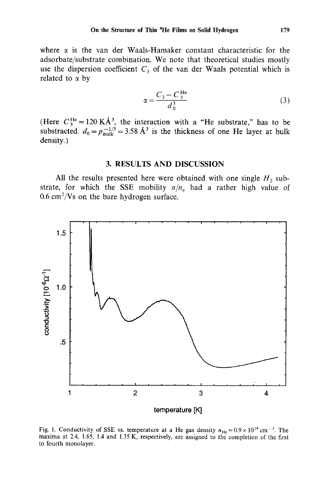where  $\alpha$  is the van der Waals-Hamaker constant characteristic for the adsorbate/substrate combination. We note that theoretical studies mostly use the dispersion coefficient  $C_3$  of the van der Waals potential which is related to  $\alpha$  by

$$
\alpha = \frac{C_3 - C_3^{\text{He}}}{d_0^3} \tag{3}
$$

(Here  $C_3^{\text{ne}} = 120 \text{ K} \text{A}^3$ , the interaction with a "He substrate," has to be substracted.  $d_0 = \rho_{\text{bulk}}^{-1/3} = 3.58 \text{ A}^3$  is the thickness of one He layer at bulk density.)

## 3. RESULTS AND DISCUSSION

All the results presented here were obtained with one single  $H_2$  substrate, for which the SSE mobility  $\sigma/n_e$  had a rather high value of  $0.6$  cm<sup>2</sup>/Vs on the bare hydrogen surface.



Fig. 1. Conductivity of SSE vs. temperature at a He gas density  $n_{\text{He}} = 0.9 \times 10^{19} \text{ cm}^{-3}$ . The maxima at 2.4, 1.65, 1.4 and 1.35 K, respectively, are assigned to the completion of the first to fourth monolayer.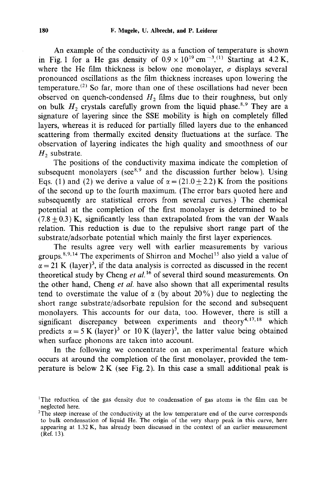An example of the conductivity as a function of temperature is shown in Fig. 1 for a He gas density of  $0.9 \times 10^{19}$  cm<sup>-3.(1)</sup> Starting at 4.2 K, where the He film thickness is below one monolayer,  $\sigma$  displays several pronounced oscillations as the film thickness increases upon lowering the temperature.<sup>(2)</sup> So far, more than one of these oscillations had never been observed on quench-condensed  $H_2$  films due to their roughness, but only on bulk  $H_2$  crystals carefully grown from the liquid phase.<sup>8,9</sup> They are a signature of layering since the SSE mobility is high on completely filled layers, whereas it is reduced for partially filled layers due to the enhanced scattering from thermally excited density fluctuations at the surface. The observation of layering indicates the high quality and smoothness of our  $H<sub>2</sub>$  substrate.

The positions of the conductivity maxima indicate the completion of subsequent monolayers (see $8.9$  and the discussion further below). Using Eqs. (1) and (2) we derive a value of  $\alpha = (21.0 + 2.2)$  K from the positions of the second up to the fourth maximum. (The error bars quoted here and subsequently are statistical errors from several curves.) The chemical potential at the completion of the first monolayer is determined to be  $(7.8+0.3)$  K, significantly less than extrapolated from the van der Waals relation. This reduction is due to the repulsive short range part of the substrate/adsorbate potential which mainly the first layer experiences.

The results agree very well with earlier measurements by various groups.<sup>8,9,14</sup> The experiments of Shirron and Mochel<sup>15</sup> also yield a value of  $\alpha = 21$  K (layer)<sup>3</sup>, if the data analysis is corrected as discussed in the recent theoretical study by Cheng *et al.16* of several third sound measurements. On the other hand, Cheng *et al.* have also shown that all experimental results tend to overstimate the value of  $\alpha$  (by about 20%) due to neglecting the short range substrate/adsorbate repulsion for the second and subsequent monolayers. This accounts for our data, too. However, there is still a significant discrepancy between experiments and theory<sup>4,17,18</sup> which predicts  $\alpha = 5$  K (layer)<sup>3</sup> or 10 K (layer)<sup>3</sup>, the latter value being obtained when surface phonons are taken into account.

In the following we concentrate on an experimental feature which occurs at around the completion of the first monolayer, provided the temperature is below  $2K$  (see Fig. 2). In this case a small additional peak is

<sup>&</sup>lt;sup>1</sup>The reduction of the gas density due to condensation of gas atoms in the film can be neglected here.

 $2$ The steep increase of the conductivity at the low temperature end of the curve corresponds to bulk condensation of liquid He. The origin of the very sharp peak in this curve, here appearing at 1.32 K, has already been discussed in the context of an earlier measurement  $(Ref. 13)$ .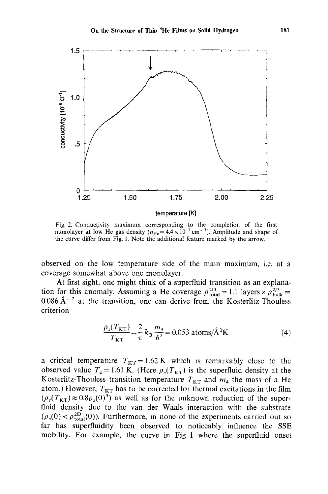

Fig. 2. Conductivity maximum corresponding to the completion of the first monolayer at low He gas density ( $n_{\text{He}} = 4.4 \times 10^{17} \text{ cm}^{-3}$ ). Amplitude and shape of the curve differ from Fig. 1. Note the additional feature marked by the arrow.

observed on the low temperature side of the main maximum, i.e. at a coverage somewhat above one monolayer.

At first sight, one might think of a superfluid transition as an explanation for this anomaly. Assuming a He coverage  $\rho_{\text{total}}^{2D} = 1.1$  layers  $\times \rho_{\text{bulk}}^{2/3} =$ 0.086  $\text{\AA}^{-2}$  at the transition, one can derive from the Kosterlitz-Thouless criterion

$$
\frac{\rho_s(T_{\text{KT}})}{T_{\text{KT}}} = \frac{2}{\pi} k_{\text{B}} \frac{m_4}{h^2} = 0.053 \text{ atoms}/\text{\AA}^2 \text{K}
$$
 (4)

a critical temperature  $T_{KT} = 1.62 \text{ K}$  which is remarkably close to the observed value  $T_c = 1.61$  K. (Here  $\rho_s(T_{KT})$  is the superfluid density at the Kosterlitz-Thouless transition temperature  $T_{KT}$  and  $m_4$  the mass of a He atom.) However,  $T_{KT}$  has to be corrected for thermal excitations in the film  $(\rho_s(T_{KT})\approx 0.8\rho_s(0)^5)$  as well as for the unknown reduction of the superfluid density due to the van der Waals interaction with the substrate  $(\rho_s(0) < \rho_{total}^{2D}(0))$ . Furthermore, in none of the experiments carried out so far has superfluidity been observed to noticeably influence the SSE mobility. For example, the curve in Fig. 1 where the superfluid onset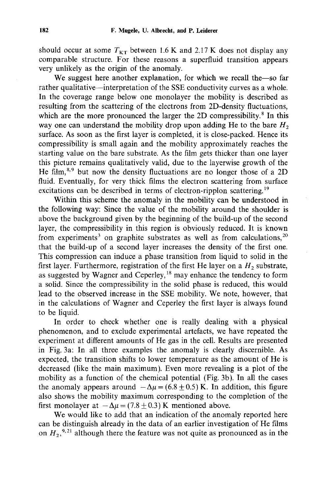should occur at some  $T_{KT}$  between 1.6 K and 2.17 K does not display any comparable structure. For these reasons a superfluid transition appears very unlikely as the origin of the anomaly.

We suggest here another explanation, for which we recall the-so far rather qualitative--interpretation of the SSE conductivity curves as a whole. In the coverage range below one monolayer the mobility is described as resulting from the scattering of the electrons from 2D-density fluctuations, which are the more pronounced the larger the 2D compressibility.<sup>8</sup> In this way one can understand the mobility drop upon adding He to the bare  $H_2$ surface. As soon as the first layer is completed, it is close-packed. Hence its compressibility is small again and the mobility approximately reaches the starting value on the bare substrate. As the film gets thicker than one layer this picture remains qualitatively valid, due to the layerwise growth of the He film, $8,9$  but now the density fluctuations are no longer those of a 2D fluid. Eventually, for very thick films the electron scattering from surface excitations can be described in terms of electron-ripplon scattering.<sup>19</sup>

Within this scheme the anomaly in the mobility can be understood in the following way: Since the value of the mobility around the shoulder is above the background given by the beginning of the build-up of the second layer, the compressibility in this region is obviously reduced. It is known from experiments<sup>3</sup> on graphite substrates as well as from calculations,  $20$ that the build-up of a second layer increases the density of the first one. This compression can induce a phase transition from liquid to solid in the first layer. Furthermore, registration of the first He layer on a  $H_2$  substrate, as suggested by Wagner and Ceperley,<sup>18</sup> may enhance the tendency to form a solid. Since the compressibility in the solid phase is reduced, this would lead to the observed increase in the SSE mobility. We note, however, that in the calculations of Wagner and Ceperley the first layer is always found to be liquid.

In order to check whether one is really dealing with a physical phenomenon, and to exclude experimental artefacts, we have repeated the experiment at different amounts of He gas in the cell. Results are presented in Fig. 3a: In all three examples the anomaly is clearly discernible. As expected, the transition shifts to lower temperature as the amount of He is decreased (like the main maximum). Even more revealing is a plot of the mobility as a function of the chemical potential (Fig. 3b). In all the cases the anomaly appears around  $-\Delta \mu = (6.8 \pm 0.5)$  K. In addition, this figure also shows the mobility maximum corresponding to the completion of the first monolayer at  $-\Delta \mu = (7.8 \pm 0.3)$  K mentioned above.

We would like to add that an indication of the anomaly reported here can be distinguish already in the data of an earlier investigation of He films on  $H_2$ , <sup>9,21</sup> although there the feature was not quite as pronounced as in the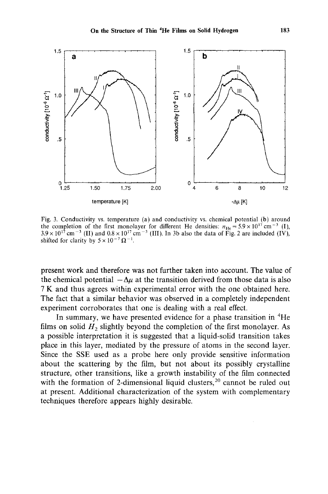

Fig. 3. Conductivity vs. temperature (a) and conductivity vs. chemical potential (b) around the completion of the first monolayer for different He densities:  $n_{\text{He}} = 5.9 \times 10^{17} \text{ cm}^{-3}$  (1),  $3.9 \times 10^{17}$  cm<sup>-3</sup> (II) and  $0.8 \times 10^{17}$  cm<sup>-3</sup> (III). In 3b also the data of Fig. 2 are included (IV), shifted for clarity by  $5 \times 10^{-7} \Omega^{-1}$ .

present work and therefore was not further taken into account. The value of the chemical potential  $-\Delta\mu$  at the transition derived from those data is also 7 K and thus agrees within experimental error with the one obtained here. The fact that a similar behavior was observed in a completely independent experiment corroborates that one is dealing with a real effect.

In summary, we have presented evidence for a phase transition in  ${}^{4}$ He films on solid  $H_2$  slightly beyond the completion of the first monolayer. As a possible interpretation it is suggested that a liquid-solid transition takes place in this layer, mediated by the pressure of atoms in the second layer. Since the SSE used as a probe here only provide sensitive information about the scattering by the film, but not about its possibly crystalline structure, other transitions, like a growth instability of the film connected with the formation of 2-dimensional liquid clusters,  $2^{0}$  cannot be ruled out at present. Additional characterization of the system with complementary techniques therefore appears highly desirable.